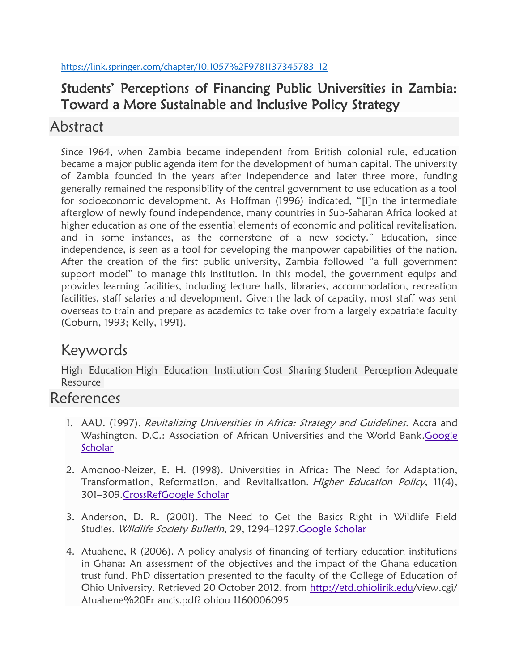## Students' Perceptions of Financing Public Universities in Zambia: Toward a More Sustainable and Inclusive Policy Strategy

# Abstract

Since 1964, when Zambia became independent from British colonial rule, education became a major public agenda item for the development of human capital. The university of Zambia founded in the years after independence and later three more, funding generally remained the responsibility of the central government to use education as a tool for socioeconomic development. As Hoffman (1996) indicated, "[I]n the intermediate afterglow of newly found independence, many countries in Sub-Saharan Africa looked at higher education as one of the essential elements of economic and political revitalisation, and in some instances, as the cornerstone of a new society." Education, since independence, is seen as a tool for developing the manpower capabilities of the nation. After the creation of the first public university, Zambia followed "a full government support model" to manage this institution. In this model, the government equips and provides learning facilities, including lecture halls, libraries, accommodation, recreation facilities, staff salaries and development. Given the lack of capacity, most staff was sent overseas to train and prepare as academics to take over from a largely expatriate faculty (Coburn, 1993; Kelly, 1991).

# Keywords

High Education High Education Institution Cost Sharing Student Perception Adequate Resource

#### References

- 1. AAU. (1997). Revitalizing Universities in Africa: Strategy and Guidelines. Accra and Washington, D.C.: Association of African Universities and the World Bank[.Google](http://scholar.google.com/scholar_lookup?title=Revitalizing%20Universities%20in%20Africa%3A%20Strategy%20and%20Guidelines&publication_year=1997)  [Scholar](http://scholar.google.com/scholar_lookup?title=Revitalizing%20Universities%20in%20Africa%3A%20Strategy%20and%20Guidelines&publication_year=1997)
- 2. Amonoo-Neizer, E. H. (1998). Universities in Africa: The Need for Adaptation, Transformation, Reformation, and Revitalisation. *Higher Education Policy*, 11(4), 301–309[.CrossRef](https://doi.org/10.1016/S0952-8733(98)00020-8)[Google Scholar](http://scholar.google.com/scholar_lookup?title=Universities%20in%20Africa%3A%20The%20Need%20for%20Adaptation%2C%20Transformation%2C%20Reformation%2C%20and%20Revitalisation&author=EH.%20Amonoo-Neizer&journal=Higher%20Education%20Policy&volume=11&issue=4&pages=301-309&publication_year=1998)
- 3. Anderson, D. R. (2001). The Need to Get the Basics Right in Wildlife Field Studies. Wildlife Society Bulletin, 29, 1294-1297. Google Scholar
- 4. Atuahene, R (2006). A policy analysis of financing of tertiary education institutions in Ghana: An assessment of the objectives and the impact of the Ghana education trust fund. PhD dissertation presented to the faculty of the College of Education of Ohio University. Retrieved 20 October 2012, from <http://etd.ohiolirik.edu/>view.cgi/ Atuahene%20Fr ancis.pdf? ohiou 1160006095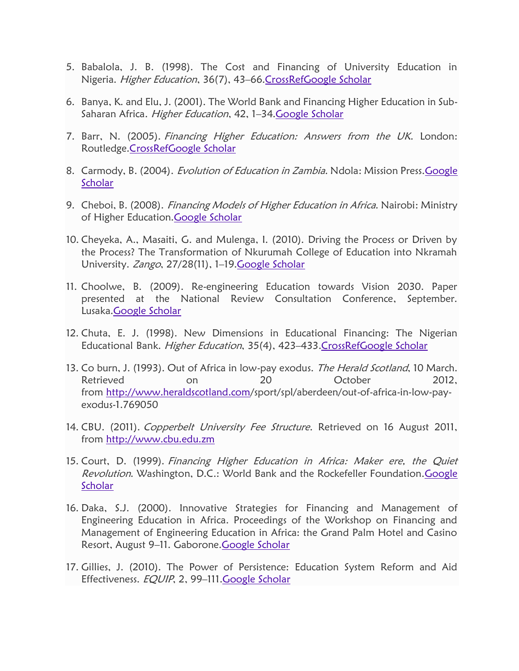- 5. Babalola, J. B. (1998). The Cost and Financing of University Education in Nigeria. Higher Education, 36(7), 43–66[.CrossRef](https://doi.org/10.1023/A%3A1003190525479)[Google Scholar](http://scholar.google.com/scholar_lookup?title=The%20Cost%20and%20Financing%20of%20University%20Education%20in%20Nigeria&author=JB.%20Babalola&journal=Higher%20Education&volume=36&issue=7&pages=43-66&publication_year=1998)
- 6. Banya, K. and Elu, J. (2001). The World Bank and Financing Higher Education in Sub-Saharan Africa. Higher Education, 42, 1-34. Google Scholar
- 7. Barr, N. (2005). Financing Higher Education: Answers from the UK. London: Routledge[.CrossRef](https://doi.org/10.4324/9780203321515)[Google Scholar](http://scholar.google.com/scholar_lookup?title=Financing%20Higher%20Education%3A%20Answers%20from%20the%20UK&author=N.%20Barr&publication_year=2005)
- 8. Carmody, B. (2004). Evolution of Education in Zambia. Ndola: Mission Press.Google **[Scholar](http://scholar.google.com/scholar_lookup?title=Evolution%20of%20Education%20in%20Zambia&author=B.%20Carmody&publication_year=2004)**
- 9. Cheboi, B. (2008). Financing Models of Higher Education in Africa. Nairobi: Ministry of Higher Education[.Google Scholar](http://scholar.google.com/scholar_lookup?title=Financing%20Models%20of%20Higher%20Education%20in%20Africa&author=B.%20Cheboi&publication_year=2008)
- 10. Cheyeka, A., Masaiti, G. and Mulenga, I. (2010). Driving the Process or Driven by the Process? The Transformation of Nkurumah College of Education into Nkramah University. Zango, 27/28(11), 1-19. Google Scholar
- 11. Choolwe, B. (2009). Re-engineering Education towards Vision 2030. Paper presented at the National Review Consultation Conference, September. Lusaka[.Google Scholar](https://scholar.google.com/scholar?q=Choolwe%2C%20B.%20%282009%29.%20Re-engineering%20Education%20towards%20Vision%202030.%20Paper%20presented%20at%20the%20National%20Review%20Consultation%20Conference%2C%20September.%20Lusaka.)
- 12. Chuta, E. J. (1998). New Dimensions in Educational Financing: The Nigerian Educational Bank. Higher Education, 35(4), 423-433. CrossRef[Google Scholar](http://scholar.google.com/scholar_lookup?title=New%20Dimensions%20in%20Educational%20Financing%3A%20The%20Nigerian%20Educational%20Bank&author=EJ.%20Chuta&journal=Higher%20Education&volume=35&issue=4&pages=423-433&publication_year=1998)
- 13. Co burn, J. (1993). Out of Africa in low-pay exodus. The Herald Scotland, 10 March. Retrieved on 20 October 2012, from <http://www.heraldscotland.com/>sport/spl/aberdeen/out-of-africa-in-low-payexodus-1.769050
- 14. CBU. (2011). Copperbelt University Fee Structure. Retrieved on 16 August 2011, from [http://www.cbu.edu.zm](http://www.cbu.edu.zm/)
- 15. Court, D. (1999). Financing Higher Education in Africa: Maker ere, the Quiet Revolution. Washington, D.C.: World Bank and the Rockefeller Foundation. Google **[Scholar](http://scholar.google.com/scholar_lookup?title=Financing%20Higher%20Education%20in%20Africa%3A%20Maker%20ere%2C%20the%20Quiet%20Revolution&author=D.%20Court&publication_year=1999)**
- 16. Daka, S.J. (2000). Innovative Strategies for Financing and Management of Engineering Education in Africa. Proceedings of the Workshop on Financing and Management of Engineering Education in Africa: the Grand Palm Hotel and Casino Resort, August 9-11. Gaborone. Google Scholar
- 17. Gillies, J. (2010). The Power of Persistence: Education System Reform and Aid Effectiveness. EQUIP, 2, 99-111. Google Scholar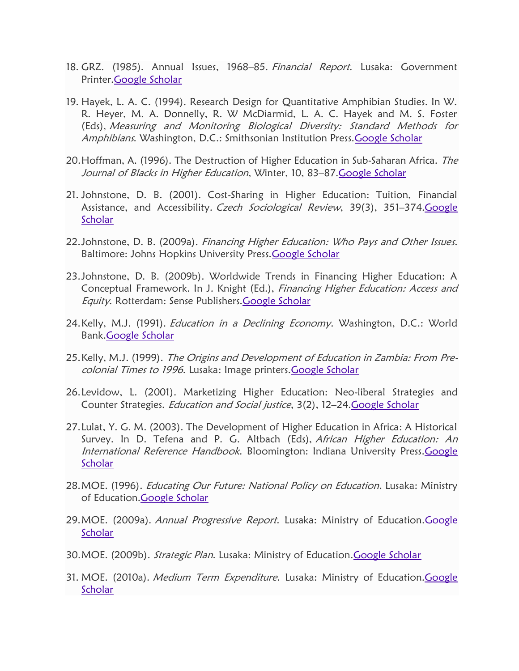- 18. GRZ. (1985). Annual Issues, 1968-85. Financial Report. Lusaka: Government Printer[.Google Scholar](https://scholar.google.com/scholar?q=GRZ.%20%281985%29.%20Annual%20Issues%2C%201968%E2%80%9385.%20Financial%20Report.%20Lusaka%3A%20Government%20Printer.)
- 19. Hayek, L. A. C. (1994). Research Design for Quantitative Amphibian Studies. In W. R. Heyer, M. A. Donnelly, R. W McDiarmid, L. A. C. Hayek and M. S. Foster (Eds), Measuring and Monitoring Biological Diversity: Standard Methods for Amphibians. Washington, D.C.: Smithsonian Institution Press. Google Scholar
- 20. Hoffman, A. (1996). The Destruction of Higher Education in Sub-Saharan Africa. The Journal of Blacks in Higher Education, Winter, 10, 83-87. Google Scholar
- 21. Johnstone, D. B. (2001). Cost-Sharing in Higher Education: Tuition, Financial Assistance, and Accessibility. Czech Sociological Review, 39(3), 351-374.Google **[Scholar](http://scholar.google.com/scholar_lookup?title=Cost-Sharing%20in%20Higher%20Education%3A%20Tuition%2C%20Financial%20Assistance%2C%20and%20Accessibility&author=DB.%20Johnstone&journal=Czech%20Sociological%20Review&volume=39&issue=3&pages=351-374&publication_year=2001)**
- 22.Johnstone, D. B. (2009a). Financing Higher Education: Who Pays and Other Issues. Baltimore: Johns Hopkins University Press[.Google Scholar](http://scholar.google.com/scholar_lookup?title=Financing%20Higher%20Education%3A%20Who%20Pays%20and%20Other%20Issues&author=DB.%20Johnstone&publication_year=2009)
- 23.Johnstone, D. B. (2009b). Worldwide Trends in Financing Higher Education: A Conceptual Framework. In J. Knight (Ed.), Financing Higher Education: Access and Equity. Rotterdam: Sense Publishers. Google Scholar
- 24. Kelly, M.J. (1991). *Education in a Declining Economy*. Washington, D.C.: World Bank[.Google Scholar](http://scholar.google.com/scholar_lookup?title=Education%20in%20a%20Declining%20Economy&author=MJ.%20Kelly&publication_year=1991)
- 25.Kelly, M.J. (1999). The Origins and Development of Education in Zambia: From Precolonial Times to 1996. Lusaka: Image printers[.Google Scholar](http://scholar.google.com/scholar_lookup?title=The%20Origins%20and%20Development%20of%20Education%20in%20Zambia%3A%20From%20Pre-colonial%20Times%20to%201996&author=MJ.%20Kelly&publication_year=1999)
- 26.Levidow, L. (2001). Marketizing Higher Education: Neo-liberal Strategies and Counter Strategies. *Education and Social justice*, 3(2), 12-24. Google Scholar
- 27.Lulat, Y. G. M. (2003). The Development of Higher Education in Africa: A Historical Survey. In D. Tefena and P. G. Altbach (Eds), African Higher Education: An International Reference Handbook. Bloomington: Indiana University Press. Google [Scholar](http://scholar.google.com/scholar_lookup?title=The%20Development%20of%20Higher%20Education%20in%20Africa%3A%20A%20Historical%20Survey&author=YGM.%20Lulat&publication_year=2003)
- 28. MOE. (1996). *Educating Our Future: National Policy on Education*. Lusaka: Ministry of Education. Google Scholar
- 29. MOE. (2009a). Annual Progressive Report. Lusaka: Ministry of Education. Google **[Scholar](http://scholar.google.com/scholar_lookup?title=Annual%20Progressive%20Report&publication_year=2009)**
- 30. MOE. (2009b). *Strategic Plan*. Lusaka: Ministry of Education. Google Scholar
- 31. MOE. (2010a). Medium Term Expenditure. Lusaka: Ministry of Education. Google [Scholar](http://scholar.google.com/scholar_lookup?title=Medium%20Term%20Expenditure&publication_year=2010)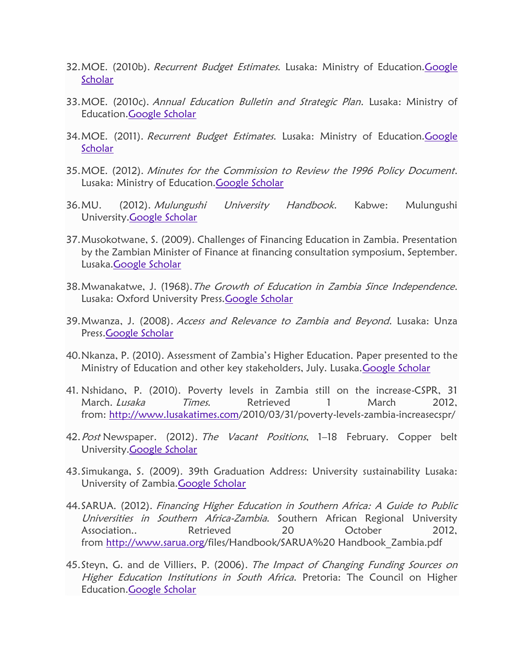- 32. MOE. (2010b). Recurrent Budget Estimates. Lusaka: Ministry of Education. Google **[Scholar](http://scholar.google.com/scholar_lookup?title=Recurrent%20Budget%20Estimates&publication_year=2010)**
- 33. MOE. (2010c). Annual Education Bulletin and Strategic Plan. Lusaka: Ministry of Education[.Google Scholar](http://scholar.google.com/scholar_lookup?title=Annual%20Education%20Bulletin%20and%20Strategic%20Plan&publication_year=2010)
- 34. MOE. (2011). Recurrent Budget Estimates. Lusaka: Ministry of Education. Google **[Scholar](http://scholar.google.com/scholar_lookup?title=Recurrent%20Budget%20Estimates&publication_year=2011)**
- 35.MOE. (2012). Minutes for the Commission to Review the 1996 Policy Document. Lusaka: Ministry of Education[.Google Scholar](http://scholar.google.com/scholar_lookup?title=Minutes%20for%20the%20Commission%20to%20Review%20the%201996%20Policy%20Document&publication_year=2012)
- 36.MU. (2012). Mulungushi University Handbook. Kabwe: Mulungushi University[.Google Scholar](http://scholar.google.com/scholar_lookup?title=Mulungushi%20University%20Handbook&publication_year=2012)
- 37.Musokotwane, S. (2009). Challenges of Financing Education in Zambia. Presentation by the Zambian Minister of Finance at financing consultation symposium, September. Lusaka[.Google Scholar](https://scholar.google.com/scholar?q=Musokotwane%2C%20S.%20%282009%29.%20Challenges%20of%20Financing%20Education%20in%20Zambia.%20Presentation%20by%20the%20Zambian%20Minister%20of%20Finance%20at%20financing%20consultation%20symposium%2C%20September.%20Lusaka.)
- 38. Mwanakatwe, J. (1968). The Growth of Education in Zambia Since Independence. Lusaka: Oxford University Press[.Google Scholar](http://scholar.google.com/scholar_lookup?title=.The%20Growth%20of%20Education%20in%20Zambia%20Since%20Independence&author=J.%20Mwanakatwe&publication_year=1968)
- 39. Mwanza, J. (2008). Access and Relevance to Zambia and Beyond. Lusaka: Unza Press[.Google Scholar](http://scholar.google.com/scholar_lookup?title=Access%20and%20Relevance%20to%20Zambia%20and%20Beyond&author=J.%20Mwanza&publication_year=2008)
- 40.Nkanza, P. (2010). Assessment of Zambia's Higher Education. Paper presented to the Ministry of Education and other key stakeholders, July. Lusaka[.Google Scholar](https://scholar.google.com/scholar?q=Nkanza%2C%20P.%20%282010%29.%20Assessment%20of%20Zambia%E2%80%99s%20Higher%20Education.%20Paper%20presented%20to%20the%20Ministry%20of%20Education%20and%20other%20key%20stakeholders%2C%20July.%20Lusaka.)
- 41. Nshidano, P. (2010). Poverty levels in Zambia still on the increase-CSPR, 31 March. Lusaka Times. Retrieved 1 March 2012. from: <http://www.lusakatimes.com/>2010/03/31/poverty-levels-zambia-increasecspr/
- 42. Post Newspaper. (2012). The Vacant Positions, 1-18 February. Copper belt University[.Google Scholar](https://scholar.google.com/scholar?q=Post%20Newspaper.%20%282012%29.%20The%20Vacant%20Positions%2C%201%E2%80%9318%20February.%20Copper%20belt%20University.)
- 43.Simukanga, S. (2009). 39th Graduation Address: University sustainability Lusaka: University of Zambia. Google Scholar
- 44.SARUA. (2012). Financing Higher Education in Southern Africa: A Guide to Public Universities in Southern Africa-Zambia. Southern African Regional University Association.. Retrieved 20 October 2012, from <http://www.sarua.org/>files/Handbook/SARUA%20 Handbook\_Zambia.pdf
- 45. Steyn, G. and de Villiers, P. (2006). The Impact of Changing Funding Sources on Higher Education Institutions in South Africa. Pretoria: The Council on Higher Education[.Google Scholar](http://scholar.google.com/scholar_lookup?title=The%20Impact%20of%20Changing%20Funding%20Sources%20on%20Higher%20Education%20Institutions%20in%20South%20Africa&publication_year=2006)